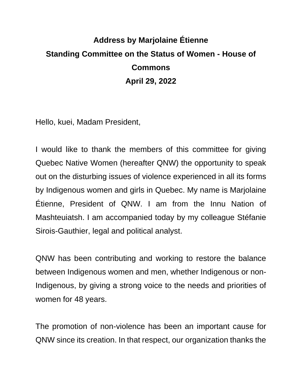## **Address by Marjolaine Étienne Standing Committee on the Status of Women - House of Commons April 29, 2022**

Hello, kuei, Madam President,

I would like to thank the members of this committee for giving Quebec Native Women (hereafter QNW) the opportunity to speak out on the disturbing issues of violence experienced in all its forms by Indigenous women and girls in Quebec. My name is Marjolaine Étienne, President of QNW. I am from the Innu Nation of Mashteuiatsh. I am accompanied today by my colleague Stéfanie Sirois-Gauthier, legal and political analyst.

QNW has been contributing and working to restore the balance between Indigenous women and men, whether Indigenous or non-Indigenous, by giving a strong voice to the needs and priorities of women for 48 years.

The promotion of non-violence has been an important cause for QNW since its creation. In that respect, our organization thanks the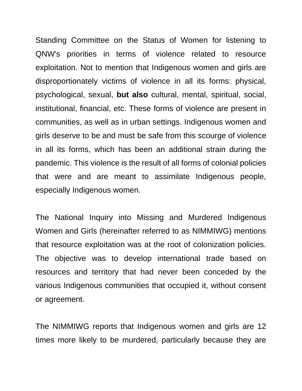Standing Committee on the Status of Women for listening to QNW's priorities in terms of violence related to resource exploitation. Not to mention that Indigenous women and girls are disproportionately victims of violence in all its forms: physical, psychological, sexual, **but also** cultural, mental, spiritual, social, institutional, financial, etc. These forms of violence are present in communities, as well as in urban settings. Indigenous women and girls deserve to be and must be safe from this scourge of violence in all its forms, which has been an additional strain during the pandemic. This violence is the result of all forms of colonial policies that were and are meant to assimilate Indigenous people, especially Indigenous women.

The National Inquiry into Missing and Murdered Indigenous Women and Girls (hereinafter referred to as NIMMIWG) mentions that resource exploitation was at the root of colonization policies. The objective was to develop international trade based on resources and territory that had never been conceded by the various Indigenous communities that occupied it, without consent or agreement.

The NIMMIWG reports that Indigenous women and girls are 12 times more likely to be murdered, particularly because they are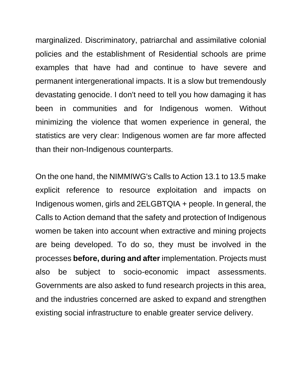marginalized. Discriminatory, patriarchal and assimilative colonial policies and the establishment of Residential schools are prime examples that have had and continue to have severe and permanent intergenerational impacts. It is a slow but tremendously devastating genocide. I don't need to tell you how damaging it has been in communities and for Indigenous women. Without minimizing the violence that women experience in general, the statistics are very clear: Indigenous women are far more affected than their non-Indigenous counterparts.

On the one hand, the NIMMIWG's Calls to Action 13.1 to 13.5 make explicit reference to resource exploitation and impacts on Indigenous women, girls and 2ELGBTQIA + people. In general, the Calls to Action demand that the safety and protection of Indigenous women be taken into account when extractive and mining projects are being developed. To do so, they must be involved in the processes **before, during and after** implementation. Projects must also be subject to socio-economic impact assessments. Governments are also asked to fund research projects in this area, and the industries concerned are asked to expand and strengthen existing social infrastructure to enable greater service delivery.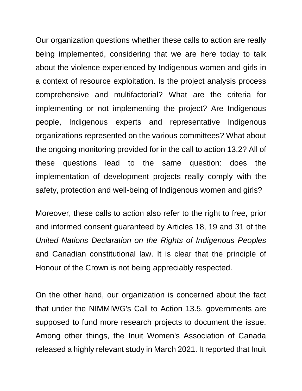Our organization questions whether these calls to action are really being implemented, considering that we are here today to talk about the violence experienced by Indigenous women and girls in a context of resource exploitation. Is the project analysis process comprehensive and multifactorial? What are the criteria for implementing or not implementing the project? Are Indigenous people, Indigenous experts and representative Indigenous organizations represented on the various committees? What about the ongoing monitoring provided for in the call to action 13.2? All of these questions lead to the same question: does the implementation of development projects really comply with the safety, protection and well-being of Indigenous women and girls?

Moreover, these calls to action also refer to the right to free, prior and informed consent guaranteed by Articles 18, 19 and 31 of the *United Nations Declaration on the Rights of Indigenous Peoples* and Canadian constitutional law. It is clear that the principle of Honour of the Crown is not being appreciably respected.

On the other hand, our organization is concerned about the fact that under the NIMMIWG's Call to Action 13.5, governments are supposed to fund more research projects to document the issue. Among other things, the Inuit Women's Association of Canada released a highly relevant study in March 2021. It reported that Inuit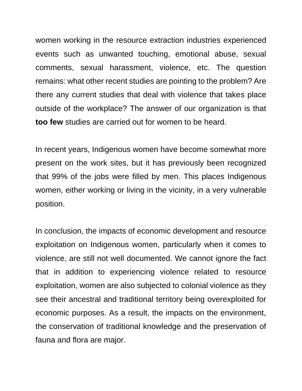women working in the resource extraction industries experienced events such as unwanted touching, emotional abuse, sexual comments, sexual harassment, violence, etc. The question remains: what other recent studies are pointing to the problem? Are there any current studies that deal with violence that takes place outside of the workplace? The answer of our organization is that **too few** studies are carried out for women to be heard.

In recent years, Indigenous women have become somewhat more present on the work sites, but it has previously been recognized that 99% of the jobs were filled by men. This places Indigenous women, either working or living in the vicinity, in a very vulnerable position.

In conclusion, the impacts of economic development and resource exploitation on Indigenous women, particularly when it comes to violence, are still not well documented. We cannot ignore the fact that in addition to experiencing violence related to resource exploitation, women are also subjected to colonial violence as they see their ancestral and traditional territory being overexploited for economic purposes. As a result, the impacts on the environment, the conservation of traditional knowledge and the preservation of fauna and flora are major.